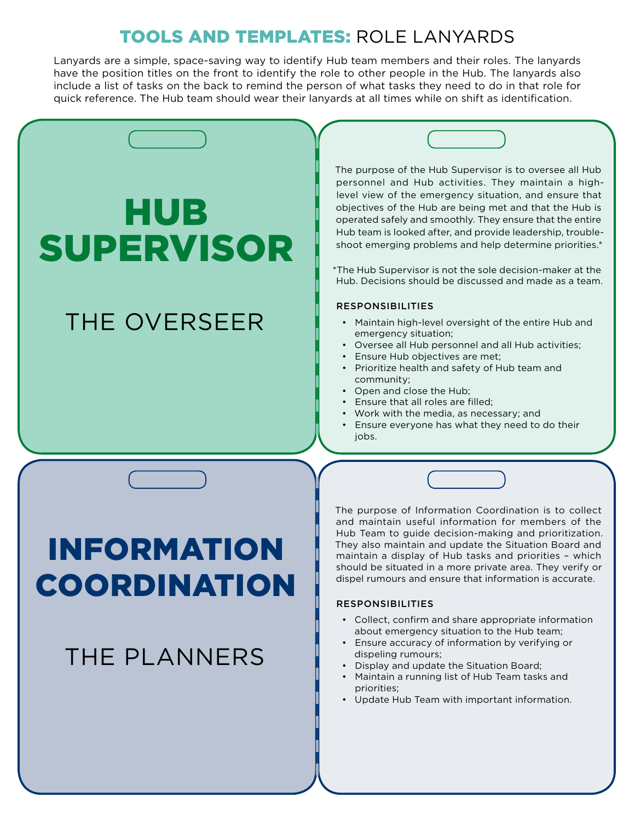Lanyards are a simple, space-saving way to identify Hub team members and their roles. The lanyards have the position titles on the front to identify the role to other people in the Hub. The lanyards also include a list of tasks on the back to remind the person of what tasks they need to do in that role for quick reference. The Hub team should wear their lanyards at all times while on shift as identification.

| <b>HUB</b><br><b>SUPERVISOR</b>    | The purpose of the Hub Supervisor is to oversee all Hub<br>personnel and Hub activities. They maintain a high-<br>level view of the emergency situation, and ensure that<br>objectives of the Hub are being met and that the Hub is<br>operated safely and smoothly. They ensure that the entire<br>Hub team is looked after, and provide leadership, trouble-<br>shoot emerging problems and help determine priorities.*<br>*The Hub Supervisor is not the sole decision-maker at the<br>Hub. Decisions should be discussed and made as a team. |
|------------------------------------|--------------------------------------------------------------------------------------------------------------------------------------------------------------------------------------------------------------------------------------------------------------------------------------------------------------------------------------------------------------------------------------------------------------------------------------------------------------------------------------------------------------------------------------------------|
|                                    | <b>RESPONSIBILITIES</b>                                                                                                                                                                                                                                                                                                                                                                                                                                                                                                                          |
| THE OVERSEER                       | • Maintain high-level oversight of the entire Hub and<br>emergency situation;<br>• Oversee all Hub personnel and all Hub activities;<br>• Ensure Hub objectives are met;<br>Prioritize health and safety of Hub team and<br>community;<br>• Open and close the Hub;<br>• Ensure that all roles are filled;<br>• Work with the media, as necessary; and<br>• Ensure everyone has what they need to do their<br>jobs.                                                                                                                              |
|                                    |                                                                                                                                                                                                                                                                                                                                                                                                                                                                                                                                                  |
|                                    |                                                                                                                                                                                                                                                                                                                                                                                                                                                                                                                                                  |
| <b>INFORMATION</b><br>COORDINATION | The purpose of Information Coordination is to collect<br>and maintain useful information for members of the<br>Hub Team to guide decision-making and prioritization.<br>They also maintain and update the Situation Board and<br>maintain a display of Hub tasks and priorities - which<br>should be situated in a more private area. They verify or<br>dispel rumours and ensure that information is accurate.                                                                                                                                  |
|                                    | <b>RESPONSIBILITIES</b>                                                                                                                                                                                                                                                                                                                                                                                                                                                                                                                          |
| THE PLANNERS                       | • Collect, confirm and share appropriate information<br>about emergency situation to the Hub team;<br>• Ensure accuracy of information by verifying or<br>dispeling rumours;<br>Display and update the Situation Board;<br>Maintain a running list of Hub Team tasks and<br>priorities;<br>• Update Hub Team with important information.                                                                                                                                                                                                         |
|                                    |                                                                                                                                                                                                                                                                                                                                                                                                                                                                                                                                                  |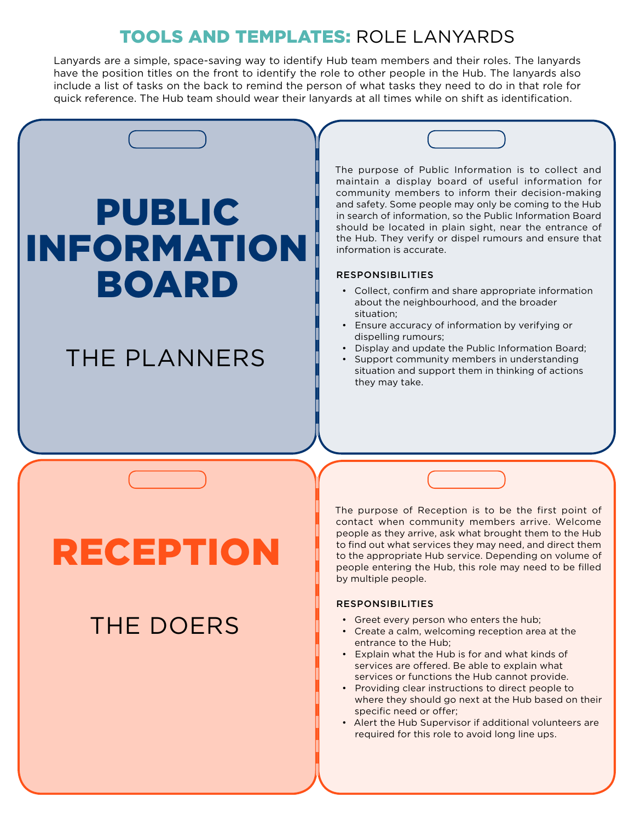Lanyards are a simple, space-saving way to identify Hub team members and their roles. The lanyards have the position titles on the front to identify the role to other people in the Hub. The lanyards also include a list of tasks on the back to remind the person of what tasks they need to do in that role for quick reference. The Hub team should wear their lanyards at all times while on shift as identification.

| <b>PUBLIC</b><br><b>INFORMATION</b> | The purpose of Public Information is to collect and<br>maintain a display board of useful information for<br>community members to inform their decision-making<br>and safety. Some people may only be coming to the Hub<br>in search of information, so the Public Information Board<br>should be located in plain sight, near the entrance of<br>the Hub. They verify or dispel rumours and ensure that<br>information is accurate.<br><b>RESPONSIBILITIES</b>                                                                |
|-------------------------------------|--------------------------------------------------------------------------------------------------------------------------------------------------------------------------------------------------------------------------------------------------------------------------------------------------------------------------------------------------------------------------------------------------------------------------------------------------------------------------------------------------------------------------------|
| <b>BOARD</b>                        | • Collect, confirm and share appropriate information                                                                                                                                                                                                                                                                                                                                                                                                                                                                           |
| THE PLANNERS                        | about the neighbourhood, and the broader<br>situation;<br>• Ensure accuracy of information by verifying or<br>dispelling rumours;<br>Display and update the Public Information Board;                                                                                                                                                                                                                                                                                                                                          |
|                                     | • Support community members in understanding<br>situation and support them in thinking of actions<br>they may take.                                                                                                                                                                                                                                                                                                                                                                                                            |
|                                     |                                                                                                                                                                                                                                                                                                                                                                                                                                                                                                                                |
| <b>RECEPTION</b>                    | The purpose of Reception is to be the first point of<br>contact when community members arrive. Welcome<br>people as they arrive, ask what brought them to the Hub<br>to find out what services they may need, and direct them<br>to the appropriate Hub service. Depending on volume of<br>people entering the Hub, this role may need to be filled<br>by multiple people.                                                                                                                                                     |
|                                     | <b>RESPONSIBILITIES</b>                                                                                                                                                                                                                                                                                                                                                                                                                                                                                                        |
| <b>THE DOERS</b>                    | • Greet every person who enters the hub;<br>• Create a calm, welcoming reception area at the<br>entrance to the Hub;<br>• Explain what the Hub is for and what kinds of<br>services are offered. Be able to explain what<br>services or functions the Hub cannot provide.<br>• Providing clear instructions to direct people to<br>where they should go next at the Hub based on their<br>specific need or offer;<br>• Alert the Hub Supervisor if additional volunteers are<br>required for this role to avoid long line ups. |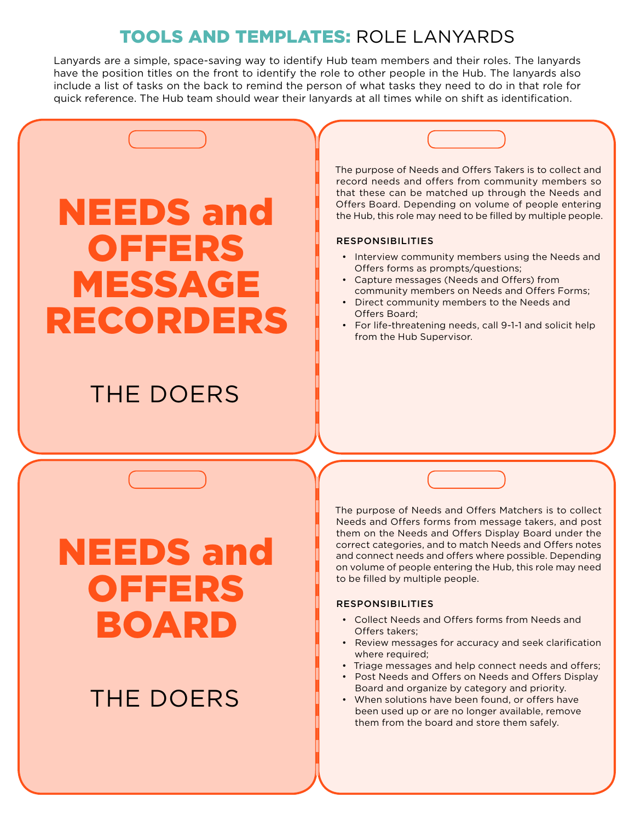Lanyards are a simple, space-saving way to identify Hub team members and their roles. The lanyards have the position titles on the front to identify the role to other people in the Hub. The lanyards also include a list of tasks on the back to remind the person of what tasks they need to do in that role for quick reference. The Hub team should wear their lanyards at all times while on shift as identification.

| <b>NEEDS and</b><br><b>OFFERS</b><br><b>MESSAGE</b><br><b>RECORDERS</b><br>THE DOERS | The purpose of Needs and Offers Takers is to collect and<br>record needs and offers from community members so<br>that these can be matched up through the Needs and<br>Offers Board. Depending on volume of people entering<br>the Hub, this role may need to be filled by multiple people.<br><b>RESPONSIBILITIES</b><br>• Interview community members using the Needs and<br>Offers forms as prompts/questions;<br>• Capture messages (Needs and Offers) from<br>community members on Needs and Offers Forms;<br>• Direct community members to the Needs and<br>Offers Board;<br>• For life-threatening needs, call 9-1-1 and solicit help<br>from the Hub Supervisor.                                                                                                                                                                                                                    |
|--------------------------------------------------------------------------------------|---------------------------------------------------------------------------------------------------------------------------------------------------------------------------------------------------------------------------------------------------------------------------------------------------------------------------------------------------------------------------------------------------------------------------------------------------------------------------------------------------------------------------------------------------------------------------------------------------------------------------------------------------------------------------------------------------------------------------------------------------------------------------------------------------------------------------------------------------------------------------------------------|
| <b>NEEDS and</b><br>01113.18<br><b>BOARD</b><br>THE DOERS                            | The purpose of Needs and Offers Matchers is to collect<br>Needs and Offers forms from message takers, and post<br>them on the Needs and Offers Display Board under the<br>correct categories, and to match Needs and Offers notes<br>and connect needs and offers where possible. Depending<br>on volume of people entering the Hub, this role may need<br>to be filled by multiple people.<br><b>RESPONSIBILITIES</b><br>• Collect Needs and Offers forms from Needs and<br>Offers takers:<br>• Review messages for accuracy and seek clarification<br>where required;<br>• Triage messages and help connect needs and offers;<br>• Post Needs and Offers on Needs and Offers Display<br>Board and organize by category and priority.<br>• When solutions have been found, or offers have<br>been used up or are no longer available, remove<br>them from the board and store them safely. |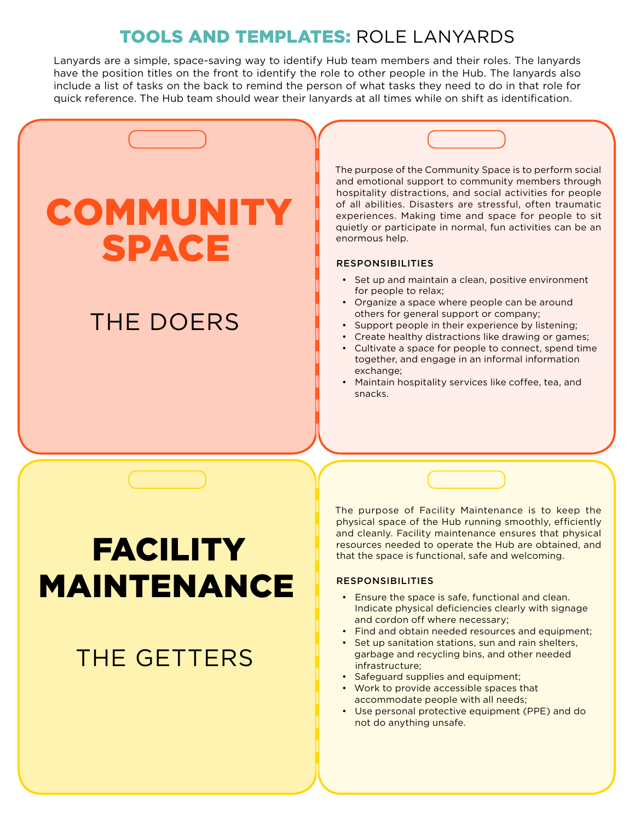Lanyards are a simple, space-saving way to identify Hub team members and their roles. The lanyards have the position titles on the front to identify the role to other people in the Hub. The lanyards also include a list of tasks on the back to remind the person of what tasks they need to do in that role for quick reference. The Hub team should wear their lanyards at all times while on shift as identification.

| <b>COMMUNITY</b><br><b>SPACE</b><br><b>THE DOERS</b> | The purpose of the Community Space is to perform social<br>and emotional support to community members through<br>hospitality distractions, and social activities for people<br>of all abilities. Disasters are stressful, often traumatic<br>experiences. Making time and space for people to sit<br>quietly or participate in normal, fun activities can be an<br>enormous help.<br><b>RESPONSIBILITIES</b><br>• Set up and maintain a clean, positive environment<br>for people to relax;<br>• Organize a space where people can be around<br>others for general support or company;<br>• Support people in their experience by listening;<br>Create healthy distractions like drawing or games;<br>Cultivate a space for people to connect, spend time<br>together, and engage in an informal information<br>exchange;<br>Maintain hospitality services like coffee, tea, and<br>snacks. |
|------------------------------------------------------|---------------------------------------------------------------------------------------------------------------------------------------------------------------------------------------------------------------------------------------------------------------------------------------------------------------------------------------------------------------------------------------------------------------------------------------------------------------------------------------------------------------------------------------------------------------------------------------------------------------------------------------------------------------------------------------------------------------------------------------------------------------------------------------------------------------------------------------------------------------------------------------------|
| <b>FACILITY</b>                                      | The purpose of Facility Maintenance is to keep the<br>physical space of the Hub running smoothly, efficiently<br>and cleanly. Facility maintenance ensures that physical<br>resources needed to operate the Hub are obtained, and<br>that the space is functional, safe and welcoming.                                                                                                                                                                                                                                                                                                                                                                                                                                                                                                                                                                                                      |
| MAINTENANCE<br>THE GETTERS                           | <b>RESPONSIBILITIES</b><br>• Ensure the space is safe, functional and clean.<br>Indicate physical deficiencies clearly with signage<br>and cordon off where necessary;<br>Find and obtain needed resources and equipment;<br>• Set up sanitation stations, sun and rain shelters,<br>garbage and recycling bins, and other needed<br>infrastructure:                                                                                                                                                                                                                                                                                                                                                                                                                                                                                                                                        |

• Safeguard supplies and equipment;

infrastructure;

- Work to provide accessible spaces that accommodate people with all needs;
- Use personal protective equipment (PPE) and do not do anything unsafe.